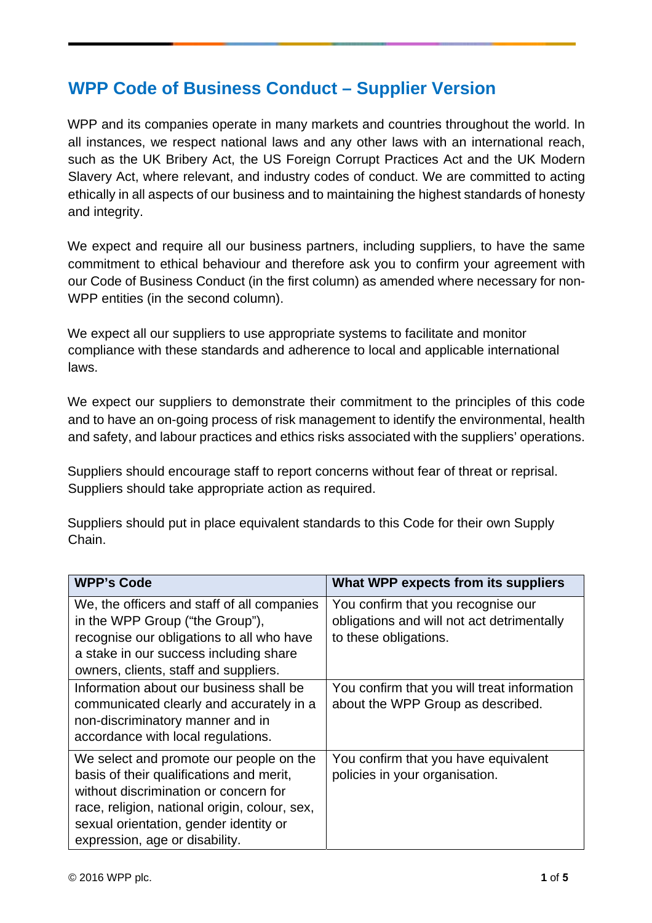## **WPP Code of Business Conduct – Supplier Version**

WPP and its companies operate in many markets and countries throughout the world. In all instances, we respect national laws and any other laws with an international reach, such as the UK Bribery Act, the US Foreign Corrupt Practices Act and the UK Modern Slavery Act, where relevant, and industry codes of conduct. We are committed to acting ethically in all aspects of our business and to maintaining the highest standards of honesty and integrity.

We expect and require all our business partners, including suppliers, to have the same commitment to ethical behaviour and therefore ask you to confirm your agreement with our Code of Business Conduct (in the first column) as amended where necessary for non-WPP entities (in the second column).

We expect all our suppliers to use appropriate systems to facilitate and monitor compliance with these standards and adherence to local and applicable international laws.

We expect our suppliers to demonstrate their commitment to the principles of this code and to have an on-going process of risk management to identify the environmental, health and safety, and labour practices and ethics risks associated with the suppliers' operations.

Suppliers should encourage staff to report concerns without fear of threat or reprisal. Suppliers should take appropriate action as required.

Suppliers should put in place equivalent standards to this Code for their own Supply Chain.

| <b>WPP's Code</b>                                                                                                                                                                                                                                         | What WPP expects from its suppliers                                                                       |
|-----------------------------------------------------------------------------------------------------------------------------------------------------------------------------------------------------------------------------------------------------------|-----------------------------------------------------------------------------------------------------------|
| We, the officers and staff of all companies<br>in the WPP Group ("the Group"),<br>recognise our obligations to all who have<br>a stake in our success including share<br>owners, clients, staff and suppliers.                                            | You confirm that you recognise our<br>obligations and will not act detrimentally<br>to these obligations. |
| Information about our business shall be<br>communicated clearly and accurately in a<br>non-discriminatory manner and in<br>accordance with local regulations.                                                                                             | You confirm that you will treat information<br>about the WPP Group as described.                          |
| We select and promote our people on the<br>basis of their qualifications and merit,<br>without discrimination or concern for<br>race, religion, national origin, colour, sex,<br>sexual orientation, gender identity or<br>expression, age or disability. | You confirm that you have equivalent<br>policies in your organisation.                                    |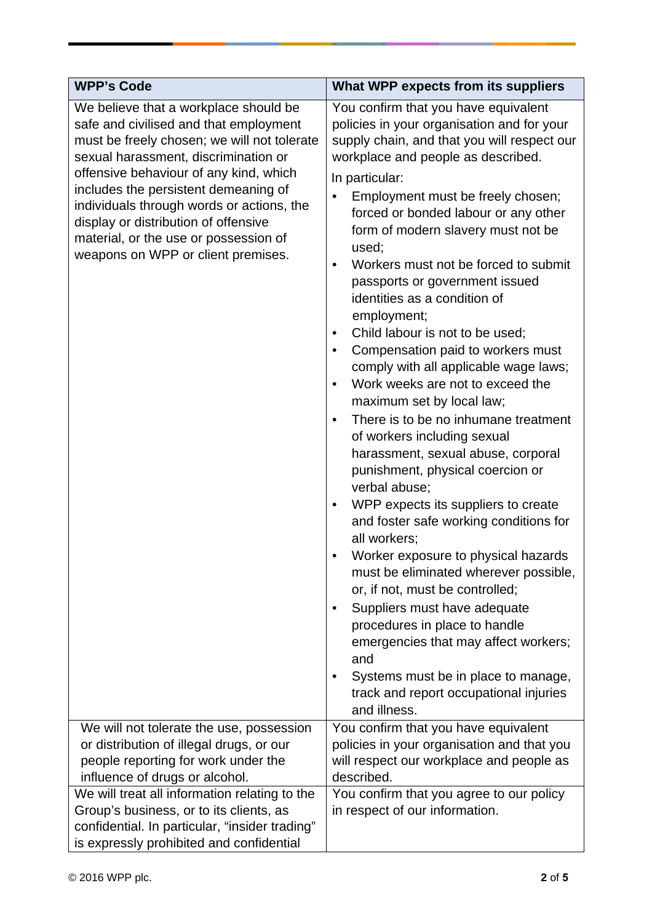| <b>WPP's Code</b>                                                                                                                                                                                                                                                                                                                                                                                                            | What WPP expects from its suppliers                                                                                                                                                                                                                                                                                                                                                                                                                                                                                                                                                                                                                                                                                                                                                                                                                                                                                                                                                                                                                                                                                                                                                                                                                                                                                |
|------------------------------------------------------------------------------------------------------------------------------------------------------------------------------------------------------------------------------------------------------------------------------------------------------------------------------------------------------------------------------------------------------------------------------|--------------------------------------------------------------------------------------------------------------------------------------------------------------------------------------------------------------------------------------------------------------------------------------------------------------------------------------------------------------------------------------------------------------------------------------------------------------------------------------------------------------------------------------------------------------------------------------------------------------------------------------------------------------------------------------------------------------------------------------------------------------------------------------------------------------------------------------------------------------------------------------------------------------------------------------------------------------------------------------------------------------------------------------------------------------------------------------------------------------------------------------------------------------------------------------------------------------------------------------------------------------------------------------------------------------------|
| We believe that a workplace should be<br>safe and civilised and that employment<br>must be freely chosen; we will not tolerate<br>sexual harassment, discrimination or<br>offensive behaviour of any kind, which<br>includes the persistent demeaning of<br>individuals through words or actions, the<br>display or distribution of offensive<br>material, or the use or possession of<br>weapons on WPP or client premises. | You confirm that you have equivalent<br>policies in your organisation and for your<br>supply chain, and that you will respect our<br>workplace and people as described.<br>In particular:<br>Employment must be freely chosen;<br>٠<br>forced or bonded labour or any other<br>form of modern slavery must not be<br>used;<br>Workers must not be forced to submit<br>$\bullet$<br>passports or government issued<br>identities as a condition of<br>employment;<br>Child labour is not to be used;<br>٠<br>Compensation paid to workers must<br>comply with all applicable wage laws;<br>Work weeks are not to exceed the<br>maximum set by local law;<br>There is to be no inhumane treatment<br>$\bullet$<br>of workers including sexual<br>harassment, sexual abuse, corporal<br>punishment, physical coercion or<br>verbal abuse;<br>WPP expects its suppliers to create<br>$\bullet$<br>and foster safe working conditions for<br>all workers;<br>Worker exposure to physical hazards<br>must be eliminated wherever possible,<br>or, if not, must be controlled;<br>Suppliers must have adequate<br>$\bullet$<br>procedures in place to handle<br>emergencies that may affect workers;<br>and<br>Systems must be in place to manage,<br>$\bullet$<br>track and report occupational injuries<br>and illness. |
| We will not tolerate the use, possession                                                                                                                                                                                                                                                                                                                                                                                     | You confirm that you have equivalent                                                                                                                                                                                                                                                                                                                                                                                                                                                                                                                                                                                                                                                                                                                                                                                                                                                                                                                                                                                                                                                                                                                                                                                                                                                                               |
| or distribution of illegal drugs, or our                                                                                                                                                                                                                                                                                                                                                                                     | policies in your organisation and that you                                                                                                                                                                                                                                                                                                                                                                                                                                                                                                                                                                                                                                                                                                                                                                                                                                                                                                                                                                                                                                                                                                                                                                                                                                                                         |
| people reporting for work under the                                                                                                                                                                                                                                                                                                                                                                                          | will respect our workplace and people as                                                                                                                                                                                                                                                                                                                                                                                                                                                                                                                                                                                                                                                                                                                                                                                                                                                                                                                                                                                                                                                                                                                                                                                                                                                                           |
| influence of drugs or alcohol.                                                                                                                                                                                                                                                                                                                                                                                               | described.                                                                                                                                                                                                                                                                                                                                                                                                                                                                                                                                                                                                                                                                                                                                                                                                                                                                                                                                                                                                                                                                                                                                                                                                                                                                                                         |
| We will treat all information relating to the                                                                                                                                                                                                                                                                                                                                                                                | You confirm that you agree to our policy                                                                                                                                                                                                                                                                                                                                                                                                                                                                                                                                                                                                                                                                                                                                                                                                                                                                                                                                                                                                                                                                                                                                                                                                                                                                           |
| Group's business, or to its clients, as                                                                                                                                                                                                                                                                                                                                                                                      | in respect of our information.                                                                                                                                                                                                                                                                                                                                                                                                                                                                                                                                                                                                                                                                                                                                                                                                                                                                                                                                                                                                                                                                                                                                                                                                                                                                                     |
| confidential. In particular, "insider trading"<br>is expressly prohibited and confidential                                                                                                                                                                                                                                                                                                                                   |                                                                                                                                                                                                                                                                                                                                                                                                                                                                                                                                                                                                                                                                                                                                                                                                                                                                                                                                                                                                                                                                                                                                                                                                                                                                                                                    |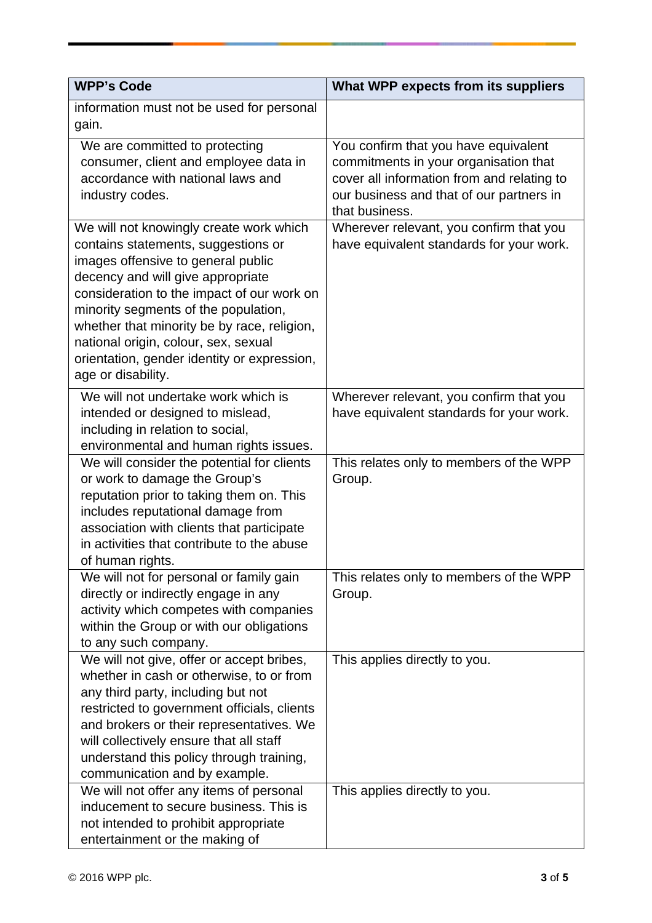| <b>WPP's Code</b>                                                                                                                                                                                                                                                                                                                                                                                           | What WPP expects from its suppliers                                                                                                                                                       |
|-------------------------------------------------------------------------------------------------------------------------------------------------------------------------------------------------------------------------------------------------------------------------------------------------------------------------------------------------------------------------------------------------------------|-------------------------------------------------------------------------------------------------------------------------------------------------------------------------------------------|
| information must not be used for personal<br>gain.                                                                                                                                                                                                                                                                                                                                                          |                                                                                                                                                                                           |
| We are committed to protecting<br>consumer, client and employee data in<br>accordance with national laws and<br>industry codes.                                                                                                                                                                                                                                                                             | You confirm that you have equivalent<br>commitments in your organisation that<br>cover all information from and relating to<br>our business and that of our partners in<br>that business. |
| We will not knowingly create work which<br>contains statements, suggestions or<br>images offensive to general public<br>decency and will give appropriate<br>consideration to the impact of our work on<br>minority segments of the population,<br>whether that minority be by race, religion,<br>national origin, colour, sex, sexual<br>orientation, gender identity or expression,<br>age or disability. | Wherever relevant, you confirm that you<br>have equivalent standards for your work.                                                                                                       |
| We will not undertake work which is<br>intended or designed to mislead,<br>including in relation to social,<br>environmental and human rights issues.                                                                                                                                                                                                                                                       | Wherever relevant, you confirm that you<br>have equivalent standards for your work.                                                                                                       |
| We will consider the potential for clients<br>or work to damage the Group's<br>reputation prior to taking them on. This<br>includes reputational damage from<br>association with clients that participate<br>in activities that contribute to the abuse<br>of human rights.                                                                                                                                 | This relates only to members of the WPP<br>Group.                                                                                                                                         |
| We will not for personal or family gain<br>directly or indirectly engage in any<br>activity which competes with companies<br>within the Group or with our obligations<br>to any such company.                                                                                                                                                                                                               | This relates only to members of the WPP<br>Group.                                                                                                                                         |
| We will not give, offer or accept bribes,<br>whether in cash or otherwise, to or from<br>any third party, including but not<br>restricted to government officials, clients<br>and brokers or their representatives. We<br>will collectively ensure that all staff<br>understand this policy through training,<br>communication and by example.                                                              | This applies directly to you.                                                                                                                                                             |
| We will not offer any items of personal<br>inducement to secure business. This is<br>not intended to prohibit appropriate<br>entertainment or the making of                                                                                                                                                                                                                                                 | This applies directly to you.                                                                                                                                                             |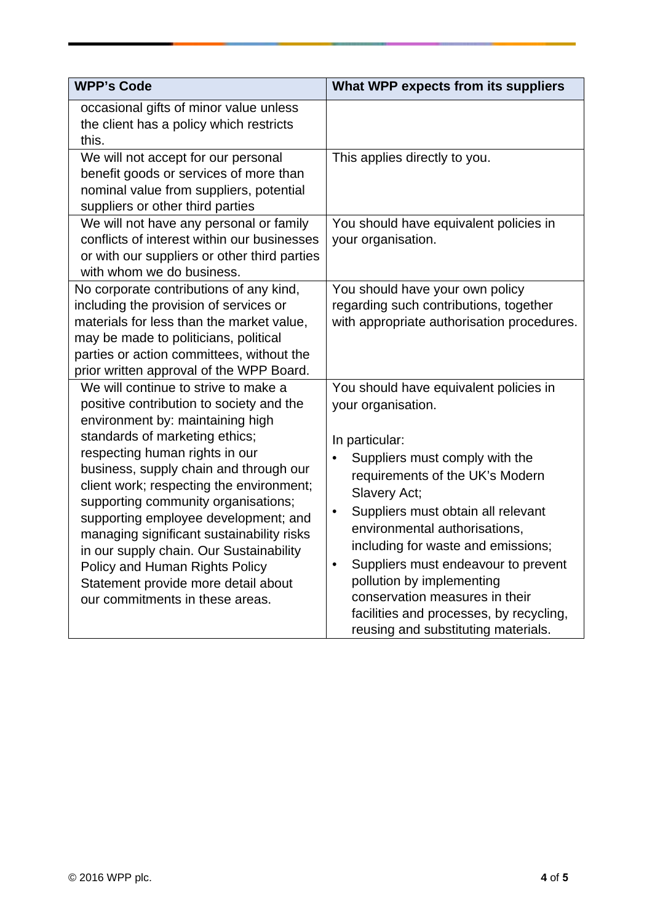| <b>WPP's Code</b>                                                                                                                                                                                                                                                                                                                                                                                                                                                                                                                                                 | What WPP expects from its suppliers                                                                                                                                                                                                                                                                                                                                                                                                                                                                |
|-------------------------------------------------------------------------------------------------------------------------------------------------------------------------------------------------------------------------------------------------------------------------------------------------------------------------------------------------------------------------------------------------------------------------------------------------------------------------------------------------------------------------------------------------------------------|----------------------------------------------------------------------------------------------------------------------------------------------------------------------------------------------------------------------------------------------------------------------------------------------------------------------------------------------------------------------------------------------------------------------------------------------------------------------------------------------------|
| occasional gifts of minor value unless<br>the client has a policy which restricts<br>this.                                                                                                                                                                                                                                                                                                                                                                                                                                                                        |                                                                                                                                                                                                                                                                                                                                                                                                                                                                                                    |
| We will not accept for our personal<br>benefit goods or services of more than<br>nominal value from suppliers, potential<br>suppliers or other third parties                                                                                                                                                                                                                                                                                                                                                                                                      | This applies directly to you.                                                                                                                                                                                                                                                                                                                                                                                                                                                                      |
| We will not have any personal or family<br>conflicts of interest within our businesses<br>or with our suppliers or other third parties<br>with whom we do business.                                                                                                                                                                                                                                                                                                                                                                                               | You should have equivalent policies in<br>your organisation.                                                                                                                                                                                                                                                                                                                                                                                                                                       |
| No corporate contributions of any kind,<br>including the provision of services or<br>materials for less than the market value,<br>may be made to politicians, political<br>parties or action committees, without the<br>prior written approval of the WPP Board.                                                                                                                                                                                                                                                                                                  | You should have your own policy<br>regarding such contributions, together<br>with appropriate authorisation procedures.                                                                                                                                                                                                                                                                                                                                                                            |
| We will continue to strive to make a<br>positive contribution to society and the<br>environment by: maintaining high<br>standards of marketing ethics;<br>respecting human rights in our<br>business, supply chain and through our<br>client work; respecting the environment;<br>supporting community organisations;<br>supporting employee development; and<br>managing significant sustainability risks<br>in our supply chain. Our Sustainability<br>Policy and Human Rights Policy<br>Statement provide more detail about<br>our commitments in these areas. | You should have equivalent policies in<br>your organisation.<br>In particular:<br>Suppliers must comply with the<br>requirements of the UK's Modern<br>Slavery Act;<br>Suppliers must obtain all relevant<br>$\bullet$<br>environmental authorisations,<br>including for waste and emissions;<br>Suppliers must endeavour to prevent<br>$\bullet$<br>pollution by implementing<br>conservation measures in their<br>facilities and processes, by recycling,<br>reusing and substituting materials. |